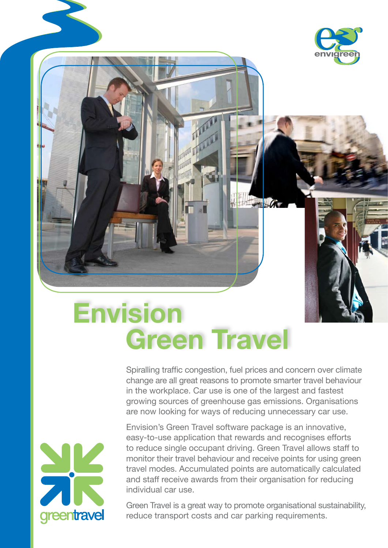

## **Envision Green Travel**

Spiralling traffic congestion, fuel prices and concern over climate change are all great reasons to promote smarter travel behaviour in the workplace. Car use is one of the largest and fastest growing sources of greenhouse gas emissions. Organisations are now looking for ways of reducing unnecessary car use.

**REGISTER OF CARD** 



Envision's Green Travel software package is an innovative, easy-to-use application that rewards and recognises efforts to reduce single occupant driving. Green Travel allows staff to monitor their travel behaviour and receive points for using green travel modes. Accumulated points are automatically calculated and staff receive awards from their organisation for reducing individual car use.

Green Travel is a great way to promote organisational sustainability, reduce transport costs and car parking requirements.